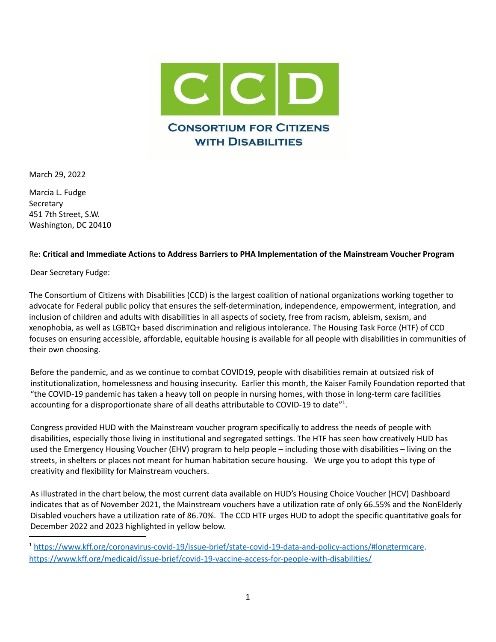

March 29, 2022

Marcia L. Fudge Secretary 451 7th Street, S.W. Washington, DC 20410

### Re: **Critical and Immediate Actions to Address Barriers to PHA Implementation of the Mainstream Voucher Program**

Dear Secretary Fudge:

The Consortium of Citizens with Disabilities (CCD) is the largest coalition of national organizations working together to advocate for Federal public policy that ensures the self-determination, independence, empowerment, integration, and inclusion of children and adults with disabilities in all aspects of society, free from racism, ableism, sexism, and xenophobia, as well as LGBTQ+ based discrimination and religious intolerance. The Housing Task Force (HTF) of CCD focuses on ensuring accessible, affordable, equitable housing is available for all people with disabilities in communities of their own choosing.

Before the pandemic, and as we continue to combat COVID19, people with disabilities remain at outsized risk of institutionalization, homelessness and housing insecurity. Earlier this month, the Kaiser Family Foundation reported that "the COVID-19 pandemic has taken a heavy toll on people in nursing homes, with those in long-term care facilities accounting for a disproportionate share of all deaths attributable to COVID-19 to date"<sup>1</sup>.

Congress provided HUD with the Mainstream voucher program specifically to address the needs of people with disabilities, especially those living in institutional and segregated settings. The HTF has seen how creatively HUD has used the Emergency Housing Voucher (EHV) program to help people – including those with disabilities – living on the streets, in shelters or places not meant for human habitation secure housing. We urge you to adopt this type of creativity and flexibility for Mainstream vouchers.

As illustrated in the chart below, the most current data available on HUD's Housing Choice Voucher (HCV) Dashboard indicates that as of November 2021, the Mainstream vouchers have a utilization rate of only 66.55% and the NonElderly Disabled vouchers have a utilization rate of 86.70%. The CCD HTF urges HUD to adopt the specific quantitative goals for December 2022 and 2023 highlighted in yellow below.

<sup>1</sup> [https://www.kff.org/coronavirus-covid-19/issue-brief/state-covid-19-data-and-policy-actions/#longtermcare.](https://www.kff.org/coronavirus-covid-19/issue-brief/state-covid-19-data-and-policy-actions/#longtermcare) <https://www.kff.org/medicaid/issue-brief/covid-19-vaccine-access-for-people-with-disabilities/>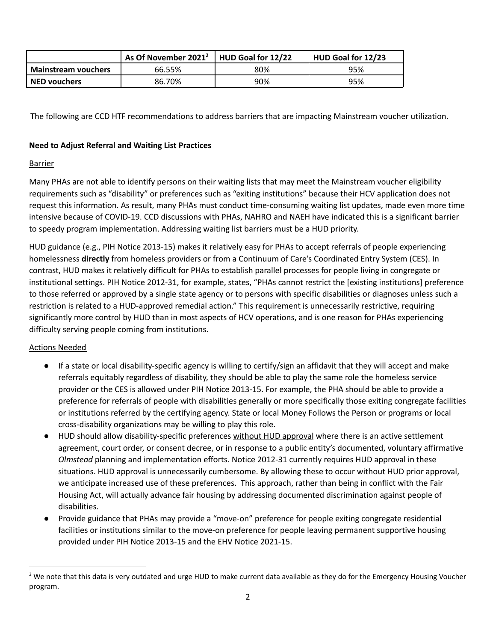|                            | As Of November 2021 <sup>2</sup>   HUD Goal for 12/22 |     | HUD Goal for 12/23 |
|----------------------------|-------------------------------------------------------|-----|--------------------|
| <b>Mainstream vouchers</b> | 66.55%                                                | 80% | 95%                |
| <b>NED vouchers</b>        | 86.70%                                                | 90% | 95%                |

The following are CCD HTF recommendations to address barriers that are impacting Mainstream voucher utilization.

### **Need to Adjust Referral and Waiting List Practices**

### **Barrier**

Many PHAs are not able to identify persons on their waiting lists that may meet the Mainstream voucher eligibility requirements such as "disability" or preferences such as "exiting institutions" because their HCV application does not request this information. As result, many PHAs must conduct time-consuming waiting list updates, made even more time intensive because of COVID-19. CCD discussions with PHAs, NAHRO and NAEH have indicated this is a significant barrier to speedy program implementation. Addressing waiting list barriers must be a HUD priority.

HUD guidance (e.g., PIH Notice 2013-15) makes it relatively easy for PHAs to accept referrals of people experiencing homelessness **directly** from homeless providers or from a Continuum of Care's Coordinated Entry System (CES). In contrast, HUD makes it relatively difficult for PHAs to establish parallel processes for people living in congregate or institutional settings. PIH Notice 2012-31, for example, states, "PHAs cannot restrict the [existing institutions] preference to those referred or approved by a single state agency or to persons with specific disabilities or diagnoses unless such a restriction is related to a HUD-approved remedial action." This requirement is unnecessarily restrictive, requiring significantly more control by HUD than in most aspects of HCV operations, and is one reason for PHAs experiencing difficulty serving people coming from institutions.

### Actions Needed

- If a state or local disability-specific agency is willing to certify/sign an affidavit that they will accept and make referrals equitably regardless of disability, they should be able to play the same role the homeless service provider or the CES is allowed under PIH Notice 2013-15. For example, the PHA should be able to provide a preference for referrals of people with disabilities generally or more specifically those exiting congregate facilities or institutions referred by the certifying agency. State or local Money Follows the Person or programs or local cross-disability organizations may be willing to play this role.
- HUD should allow disability-specific preferences without HUD approval where there is an active settlement agreement, court order, or consent decree, or in response to a public entity's documented, voluntary affirmative *Olmstead* planning and implementation efforts. Notice 2012-31 currently requires HUD approval in these situations. HUD approval is unnecessarily cumbersome. By allowing these to occur without HUD prior approval, we anticipate increased use of these preferences. This approach, rather than being in conflict with the Fair Housing Act, will actually advance fair housing by addressing documented discrimination against people of disabilities.
- Provide guidance that PHAs may provide a "move-on" preference for people exiting congregate residential facilities or institutions similar to the move-on preference for people leaving permanent supportive housing provided under PIH Notice 2013-15 and the EHV Notice 2021-15.

 $2$  We note that this data is very outdated and urge HUD to make current data available as they do for the Emergency Housing Voucher program.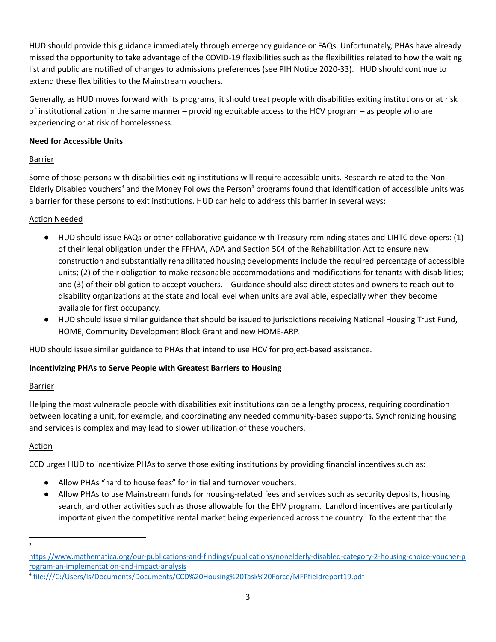HUD should provide this guidance immediately through emergency guidance or FAQs. Unfortunately, PHAs have already missed the opportunity to take advantage of the COVID-19 flexibilities such as the flexibilities related to how the waiting list and public are notified of changes to admissions preferences (see PIH Notice 2020-33). HUD should continue to extend these flexibilities to the Mainstream vouchers.

Generally, as HUD moves forward with its programs, it should treat people with disabilities exiting institutions or at risk of institutionalization in the same manner – providing equitable access to the HCV program – as people who are experiencing or at risk of homelessness.

### **Need for Accessible Units**

## Barrier

Some of those persons with disabilities exiting institutions will require accessible units. Research related to the Non Elderly Disabled vouchers<sup>3</sup> and the Money Follows the Person<sup>4</sup> programs found that identification of accessible units was a barrier for these persons to exit institutions. HUD can help to address this barrier in several ways:

## Action Needed

- HUD should issue FAQs or other collaborative guidance with Treasury reminding states and LIHTC developers: (1) of their legal obligation under the FFHAA, ADA and Section 504 of the Rehabilitation Act to ensure new construction and substantially rehabilitated housing developments include the required percentage of accessible units; (2) of their obligation to make reasonable accommodations and modifications for tenants with disabilities; and (3) of their obligation to accept vouchers. Guidance should also direct states and owners to reach out to disability organizations at the state and local level when units are available, especially when they become available for first occupancy.
- HUD should issue similar guidance that should be issued to jurisdictions receiving National Housing Trust Fund, HOME, Community Development Block Grant and new HOME-ARP.

HUD should issue similar guidance to PHAs that intend to use HCV for project-based assistance.

## **Incentivizing PHAs to Serve People with Greatest Barriers to Housing**

### **Barrier**

Helping the most vulnerable people with disabilities exit institutions can be a lengthy process, requiring coordination between locating a unit, for example, and coordinating any needed community-based supports. Synchronizing housing and services is complex and may lead to slower utilization of these vouchers.

## Action

CCD urges HUD to incentivize PHAs to serve those exiting institutions by providing financial incentives such as:

- Allow PHAs "hard to house fees" for initial and turnover vouchers.
- Allow PHAs to use Mainstream funds for housing-related fees and services such as security deposits, housing search, and other activities such as those allowable for the EHV program. Landlord incentives are particularly important given the competitive rental market being experienced across the country. To the extent that the

<sup>3</sup>

[https://www.mathematica.org/our-publications-and-findings/publications/nonelderly-disabled-category-2-housing-choice-voucher-p](https://www.mathematica.org/our-publications-and-findings/publications/nonelderly-disabled-category-2-housing-choice-voucher-program-an-implementation-and-impact-analysis) [rogram-an-implementation-and-impact-analysis](https://www.mathematica.org/our-publications-and-findings/publications/nonelderly-disabled-category-2-housing-choice-voucher-program-an-implementation-and-impact-analysis)

<sup>4</sup> file:///C:/Users/ls/Documents/Documents/CCD%20Housing%20Task%20Force/MFPfieldreport19.pdf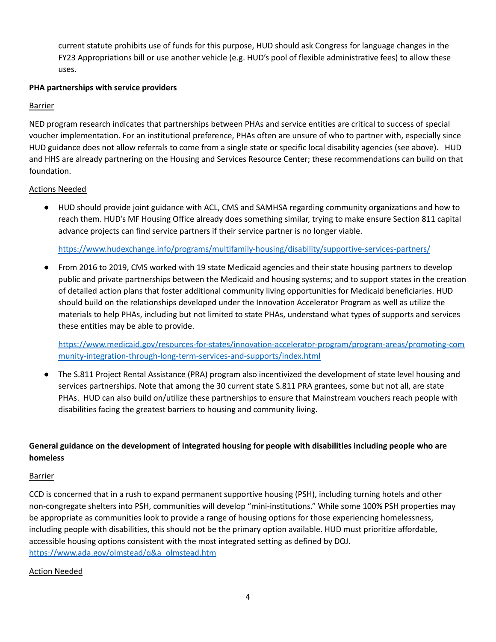current statute prohibits use of funds for this purpose, HUD should ask Congress for language changes in the FY23 Appropriations bill or use another vehicle (e.g. HUD's pool of flexible administrative fees) to allow these uses.

### **PHA partnerships with service providers**

### **Barrier**

NED program research indicates that partnerships between PHAs and service entities are critical to success of special voucher implementation. For an institutional preference, PHAs often are unsure of who to partner with, especially since HUD guidance does not allow referrals to come from a single state or specific local disability agencies (see above). HUD and HHS are already partnering on the Housing and Services Resource Center; these recommendations can build on that foundation.

### Actions Needed

● HUD should provide joint guidance with ACL, CMS and SAMHSA regarding community organizations and how to reach them. HUD's MF Housing Office already does something similar, trying to make ensure Section 811 capital advance projects can find service partners if their service partner is no longer viable.

<https://www.hudexchange.info/programs/multifamily-housing/disability/supportive-services-partners/>

● From 2016 to 2019, CMS worked with 19 state Medicaid agencies and their state housing partners to develop public and private partnerships between the Medicaid and housing systems; and to support states in the creation of detailed action plans that foster additional community living opportunities for Medicaid beneficiaries. HUD should build on the relationships developed under the Innovation Accelerator Program as well as utilize the materials to help PHAs, including but not limited to state PHAs, understand what types of supports and services these entities may be able to provide.

[https://www.medicaid.gov/resources-for-states/innovation-accelerator-program/program-areas/promoting-com](https://www.medicaid.gov/resources-for-states/innovation-accelerator-program/program-areas/promoting-community-integration-through-long-term-services-and-supports/index.html) [munity-integration-through-long-term-services-and-supports/index.html](https://www.medicaid.gov/resources-for-states/innovation-accelerator-program/program-areas/promoting-community-integration-through-long-term-services-and-supports/index.html)

The S.811 Project Rental Assistance (PRA) program also incentivized the development of state level housing and services partnerships. Note that among the 30 current state S.811 PRA grantees, some but not all, are state PHAs. HUD can also build on/utilize these partnerships to ensure that Mainstream vouchers reach people with disabilities facing the greatest barriers to housing and community living.

# **General guidance on the development of integrated housing for people with disabilities including people who are homeless**

### **Barrier**

CCD is concerned that in a rush to expand permanent supportive housing (PSH), including turning hotels and other non-congregate shelters into PSH, communities will develop "mini-institutions." While some 100% PSH properties may be appropriate as communities look to provide a range of housing options for those experiencing homelessness, including people with disabilities, this should not be the primary option available. HUD must prioritize affordable, accessible housing options consistent with the most integrated setting as defined by DOJ. [https://www.ada.gov/olmstead/q&a\\_olmstead.htm](https://www.ada.gov/olmstead/q&a_olmstead.htm)

### Action Needed